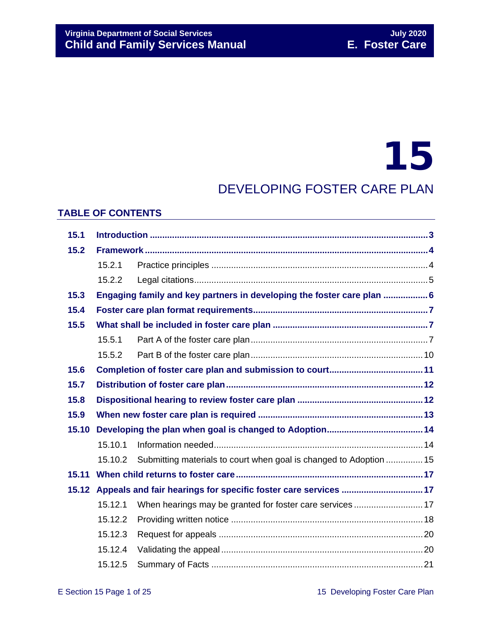# 15

### DEVELOPING FOSTER CARE PLAN

### **TABLE OF CONTENTS**

| 15.1  |                                                                        |                                                                    |  |
|-------|------------------------------------------------------------------------|--------------------------------------------------------------------|--|
| 15.2  |                                                                        |                                                                    |  |
|       | 15.2.1                                                                 |                                                                    |  |
|       | 15.2.2                                                                 |                                                                    |  |
| 15.3  | Engaging family and key partners in developing the foster care plan  6 |                                                                    |  |
| 15.4  |                                                                        |                                                                    |  |
| 15.5  |                                                                        |                                                                    |  |
|       | 15.5.1                                                                 |                                                                    |  |
|       | 15.5.2                                                                 |                                                                    |  |
| 15.6  |                                                                        |                                                                    |  |
| 15.7  |                                                                        |                                                                    |  |
| 15.8  |                                                                        |                                                                    |  |
| 15.9  |                                                                        |                                                                    |  |
| 15.10 |                                                                        |                                                                    |  |
|       | 15.10.1                                                                |                                                                    |  |
|       | 15.10.2                                                                | Submitting materials to court when goal is changed to Adoption  15 |  |
| 15.11 |                                                                        |                                                                    |  |
|       | 15.12 Appeals and fair hearings for specific foster care services  17  |                                                                    |  |
|       | 15.12.1                                                                |                                                                    |  |
|       | 15.12.2                                                                |                                                                    |  |
|       | 15.12.3                                                                |                                                                    |  |
|       | 15.12.4                                                                |                                                                    |  |
|       | 15.12.5                                                                |                                                                    |  |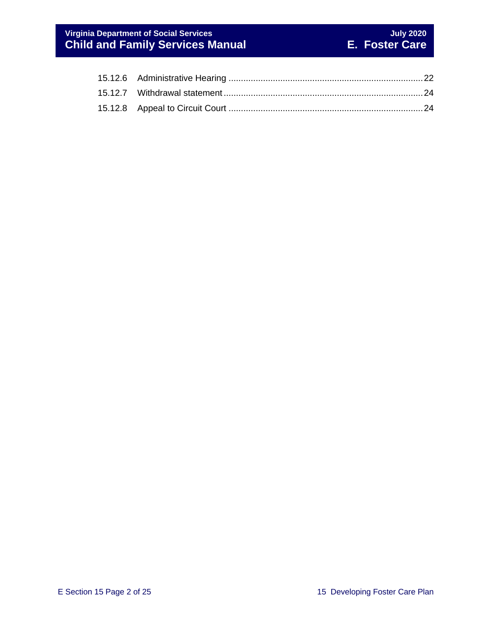### **Virginia Department of Social Services July 2020 Child and Family Services Manual E. Foster Care**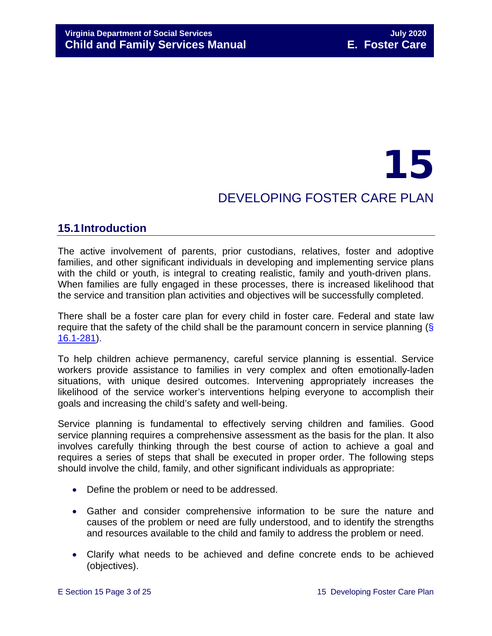## 15 DEVELOPING FOSTER CARE PLAN

### <span id="page-2-0"></span>**15.1Introduction**

The active involvement of parents, prior custodians, relatives, foster and adoptive families, and other significant individuals in developing and implementing service plans with the child or youth, is integral to creating realistic, family and youth-driven plans. When families are fully engaged in these processes, there is increased likelihood that the service and transition plan activities and objectives will be successfully completed.

There shall be a foster care plan for every child in foster care. Federal and state law require that the safety of the child shall be the paramount concern in service planning (§ [16.1-281\)](https://law.lis.virginia.gov/vacode/16.1-281/).

To help children achieve permanency, careful service planning is essential. Service workers provide assistance to families in very complex and often emotionally-laden situations, with unique desired outcomes. Intervening appropriately increases the likelihood of the service worker's interventions helping everyone to accomplish their goals and increasing the child's safety and well-being.

Service planning is fundamental to effectively serving children and families. Good service planning requires a comprehensive assessment as the basis for the plan. It also involves carefully thinking through the best course of action to achieve a goal and requires a series of steps that shall be executed in proper order. The following steps should involve the child, family, and other significant individuals as appropriate:

- Define the problem or need to be addressed.
- Gather and consider comprehensive information to be sure the nature and causes of the problem or need are fully understood, and to identify the strengths and resources available to the child and family to address the problem or need.
- Clarify what needs to be achieved and define concrete ends to be achieved (objectives).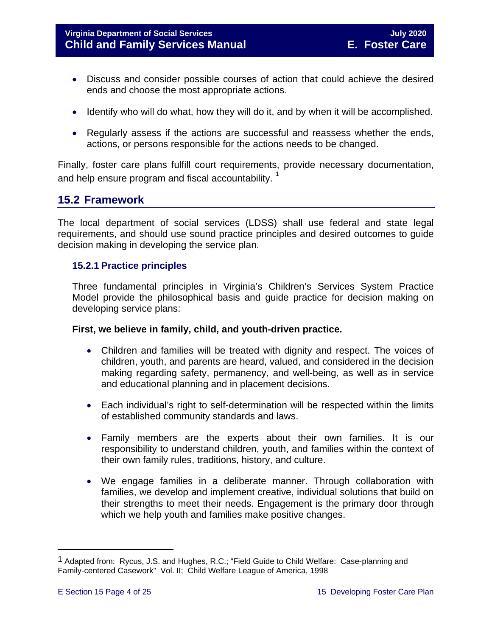- Discuss and consider possible courses of action that could achieve the desired ends and choose the most appropriate actions.
- Identify who will do what, how they will do it, and by when it will be accomplished.
- Regularly assess if the actions are successful and reassess whether the ends, actions, or persons responsible for the actions needs to be changed.

Finally, foster care plans fulfill court requirements, provide necessary documentation, and help ensure program and fiscal accountability.

### <span id="page-3-0"></span>**15.2 Framework**

The local department of social services (LDSS) shall use federal and state legal requirements, and should use sound practice principles and desired outcomes to guide decision making in developing the service plan.

### <span id="page-3-1"></span>**15.2.1 Practice principles**

Three fundamental principles in Virginia's Children's Services System Practice Model provide the philosophical basis and guide practice for decision making on developing service plans:

### **First, we believe in family, child, and youth-driven practice.**

- Children and families will be treated with dignity and respect. The voices of children, youth, and parents are heard, valued, and considered in the decision making regarding safety, permanency, and well-being, as well as in service and educational planning and in placement decisions.
- Each individual's right to self-determination will be respected within the limits of established community standards and laws.
- Family members are the experts about their own families. It is our responsibility to understand children, youth, and families within the context of their own family rules, traditions, history, and culture.
- We engage families in a deliberate manner. Through collaboration with families, we develop and implement creative, individual solutions that build on their strengths to meet their needs. Engagement is the primary door through which we help youth and families make positive changes.

Ĩ.

<span id="page-3-2"></span><sup>1</sup> Adapted from: Rycus, J.S. and Hughes, R.C.; "Field Guide to Child Welfare: Case-planning and Family-centered Casework" Vol. II; Child Welfare League of America, 1998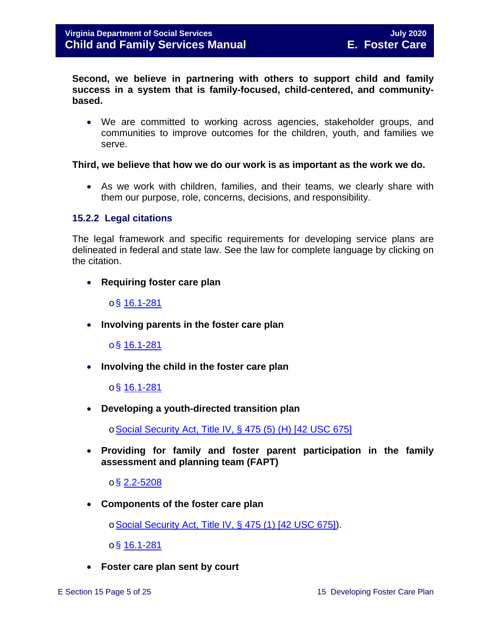**Second, we believe in partnering with others to support child and family success in a system that is family-focused, child-centered, and communitybased.** 

• We are committed to working across agencies, stakeholder groups, and communities to improve outcomes for the children, youth, and families we serve.

### **Third, we believe that how we do our work is as important as the work we do.**

• As we work with children, families, and their teams, we clearly share with them our purpose, role, concerns, decisions, and responsibility.

### <span id="page-4-0"></span>**15.2.2 Legal citations**

The legal framework and specific requirements for developing service plans are delineated in federal and state law. See the law for complete language by clicking on the citation.

• **Requiring foster care plan** 

o§ [16.1-281](https://law.lis.virginia.gov/vacode/16.1-281/)

• **Involving parents in the foster care plan** 

o§ [16.1-281](https://law.lis.virginia.gov/vacode/16.1-281/)

• **Involving the child in the foster care plan** 

o§ [16.1-281](https://law.lis.virginia.gov/vacode/16.1-281/)

• **Developing a youth-directed transition plan** 

o[Social Security Act, Title IV, § 475 \(5\) \(H\) \[42 USC 675\]](http://www.ssa.gov/OP_Home/ssact/title04/0475.htm)

• **Providing for family and foster parent participation in the family assessment and planning team (FAPT)** 

 $\circ$ § [2.2-5208](https://law.lis.virginia.gov/vacode/2.2-5208/)

• **Components of the foster care plan** 

o[Social Security Act, Title IV, § 475 \(1\) \[42 USC 675\]\)](http://www.ssa.gov/OP_Home/ssact/title04/0475.htm).

o§ [16.1-281](https://law.lis.virginia.gov/vacode/16.1-281/)

• **Foster care plan sent by court**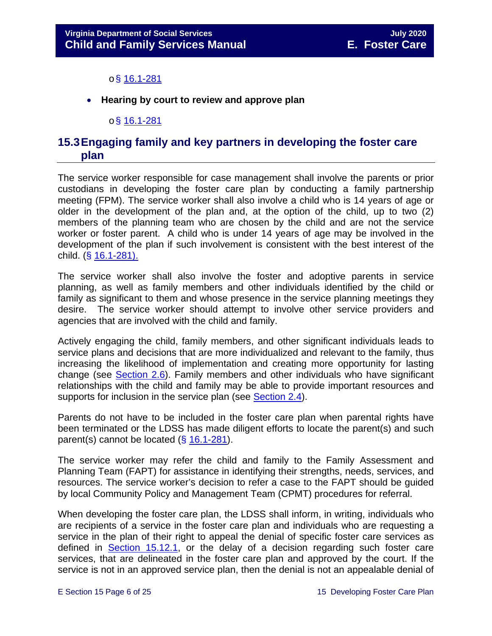### $\circ$ § [16.1-281](https://law.lis.virginia.gov/vacode/16.1-281/)

• **Hearing by court to review and approve plan** 

### o§ [16.1-281](https://law.lis.virginia.gov/vacode/16.1-281/)

### <span id="page-5-0"></span>**15.3Engaging family and key partners in developing the foster care plan**

The service worker responsible for case management shall involve the parents or prior custodians in developing the foster care plan by conducting a family partnership meeting (FPM). The service worker shall also involve a child who is 14 years of age or older in the development of the plan and, at the option of the child, up to two (2) members of the planning team who are chosen by the child and are not the service worker or foster parent. A child who is under 14 years of age may be involved in the development of the plan if such involvement is consistent with the best interest of the child.  $(*§* 16.1-281).$  $(*§* 16.1-281).$ 

The service worker shall also involve the foster and adoptive parents in service planning, as well as family members and other individuals identified by the child or family as significant to them and whose presence in the service planning meetings they desire. The service worker should attempt to involve other service providers and agencies that are involved with the child and family.

Actively engaging the child, family members, and other significant individuals leads to service plans and decisions that are more individualized and relevant to the family, thus increasing the likelihood of implementation and creating more opportunity for lasting change (see [Section 2.6\)](https://fusion.dss.virginia.gov/Portals/%5bdfs%5d/Files/DFS%20Manuals/Foster%20Care%20Manuals/Foster%20Care%20Manual%2007-2020/section_2_engaging_the_child_family_and_significant_adults.pdf#page=13). Family members and other individuals who have significant relationships with the child and family may be able to provide important resources and supports for inclusion in the service plan (see [Section 2.4\)](https://fusion.dss.virginia.gov/Portals/%5bdfs%5d/Files/DFS%20Manuals/Foster%20Care%20Manuals/Foster%20Care%20Manual%2007-2020/section_2_engaging_the_child_family_and_significant_adults.pdf#page=8).

Parents do not have to be included in the foster care plan when parental rights have been terminated or the LDSS has made diligent efforts to locate the parent(s) and such parent(s) cannot be located  $(\S 16.1-281)$  $(\S 16.1-281)$ .

The service worker may refer the child and family to the Family Assessment and Planning Team (FAPT) for assistance in identifying their strengths, needs, services, and resources. The service worker's decision to refer a case to the FAPT should be guided by local Community Policy and Management Team (CPMT) procedures for referral.

When developing the foster care plan, the LDSS shall inform, in writing, individuals who are recipients of a service in the foster care plan and individuals who are requesting a service in the plan of their right to appeal the denial of specific foster care services as defined in [Section 15.12.1,](#page-16-2) or the delay of a decision regarding such foster care services, that are delineated in the foster care plan and approved by the court. If the service is not in an approved service plan, then the denial is not an appealable denial of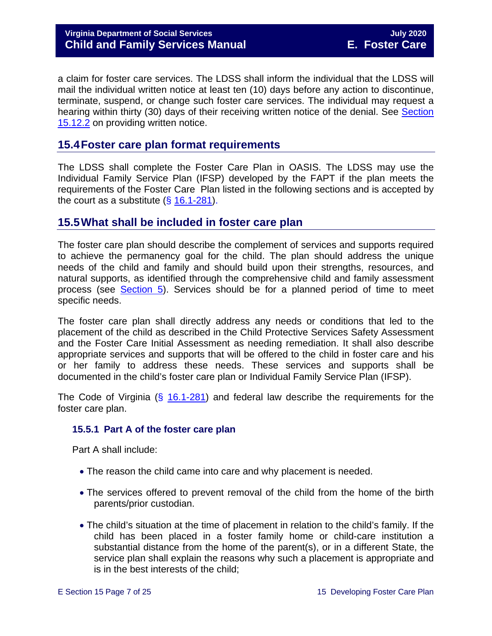a claim for foster care services. The LDSS shall inform the individual that the LDSS will mail the individual written notice at least ten (10) days before any action to discontinue, terminate, suspend, or change such foster care services. The individual may request a hearing within thirty (30) days of their receiving written notice of the denial. See Section [15.12.2](#page-17-1) on providing written notice.

### <span id="page-6-0"></span>**15.4Foster care plan format requirements**

The LDSS shall complete the Foster Care Plan in OASIS. The LDSS may use the Individual Family Service Plan (IFSP) developed by the FAPT if the plan meets the requirements of the Foster Care Plan listed in the following sections and is accepted by the court as a substitute  $(\S 16.1-281)$  $(\S 16.1-281)$ .

### <span id="page-6-1"></span>**15.5What shall be included in foster care plan**

The foster care plan should describe the complement of services and supports required to achieve the permanency goal for the child. The plan should address the unique needs of the child and family and should build upon their strengths, resources, and natural supports, as identified through the comprehensive child and family assessment process (see [Section 5\)](https://fusion.dss.virginia.gov/Portals/%5bdfs%5d/Files/DFS%20Manuals/Foster%20Care%20Manuals/Foster%20Care%20Manual%2007-2020/section_5_conducting_child_and_family_assessment.pdf). Services should be for a planned period of time to meet specific needs.

The foster care plan shall directly address any needs or conditions that led to the placement of the child as described in the Child Protective Services Safety Assessment and the Foster Care Initial Assessment as needing remediation. It shall also describe appropriate services and supports that will be offered to the child in foster care and his or her family to address these needs. These services and supports shall be documented in the child's foster care plan or Individual Family Service Plan (IFSP).

The Code of Virginia ( $\S$  [16.1-281\)](https://law.lis.virginia.gov/vacode/16.1-281/) and federal law describe the requirements for the foster care plan.

### <span id="page-6-2"></span>**15.5.1 Part A of the foster care plan**

Part A shall include:

- The reason the child came into care and why placement is needed.
- The services offered to prevent removal of the child from the home of the birth parents/prior custodian.
- The child's situation at the time of placement in relation to the child's family. If the child has been placed in a foster family home or child-care institution a substantial distance from the home of the parent(s), or in a different State, the service plan shall explain the reasons why such a placement is appropriate and is in the best interests of the child;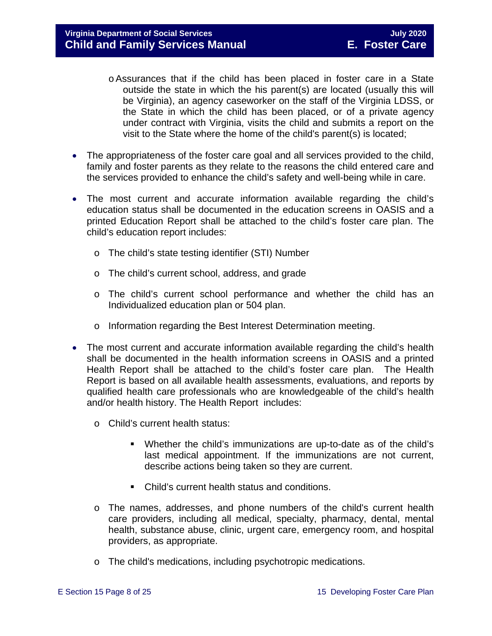- oAssurances that if the child has been placed in foster care in a State outside the state in which the his parent(s) are located (usually this will be Virginia), an agency caseworker on the staff of the Virginia LDSS, or the State in which the child has been placed, or of a private agency under contract with Virginia, visits the child and submits a report on the visit to the State where the home of the child's parent(s) is located;
- The appropriateness of the foster care goal and all services provided to the child, family and foster parents as they relate to the reasons the child entered care and the services provided to enhance the child's safety and well-being while in care.
- The most current and accurate information available regarding the child's education status shall be documented in the education screens in OASIS and a printed Education Report shall be attached to the child's foster care plan. The child's education report includes:
	- o The child's state testing identifier (STI) Number
	- o The child's current school, address, and grade
	- o The child's current school performance and whether the child has an Individualized education plan or 504 plan.
	- o Information regarding the Best Interest Determination meeting.
- The most current and accurate information available regarding the child's health shall be documented in the health information screens in OASIS and a printed Health Report shall be attached to the child's foster care plan. The Health Report is based on all available health assessments, evaluations, and reports by qualified health care professionals who are knowledgeable of the child's health and/or health history. The Health Report includes:
	- o Child's current health status:
		- Whether the child's immunizations are up-to-date as of the child's last medical appointment. If the immunizations are not current, describe actions being taken so they are current.
		- Child's current health status and conditions.
	- o The names, addresses, and phone numbers of the child's current health care providers, including all medical, specialty, pharmacy, dental, mental health, substance abuse, clinic, urgent care, emergency room, and hospital providers, as appropriate.
	- o The child's medications, including psychotropic medications.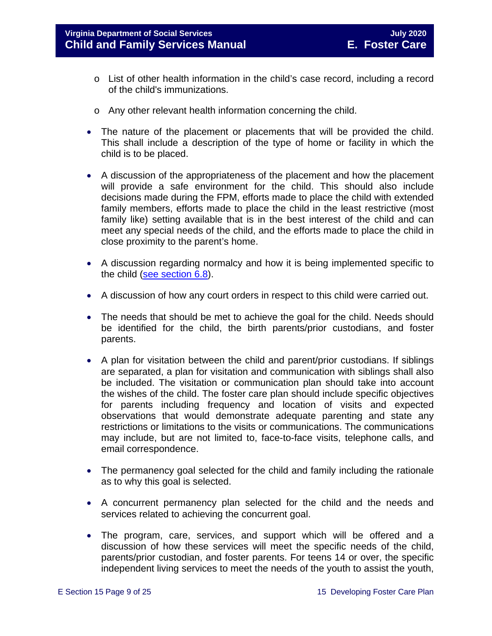- o List of other health information in the child's case record, including a record of the child's immunizations.
- o Any other relevant health information concerning the child.
- The nature of the placement or placements that will be provided the child. This shall include a description of the type of home or facility in which the child is to be placed.
- A discussion of the appropriateness of the placement and how the placement will provide a safe environment for the child. This should also include decisions made during the FPM, efforts made to place the child with extended family members, efforts made to place the child in the least restrictive (most family like) setting available that is in the best interest of the child and can meet any special needs of the child, and the efforts made to place the child in close proximity to the parent's home.
- A discussion regarding normalcy and how it is being implemented specific to the child [\(see section 6.8\)](https://fusion.dss.virginia.gov/Portals/%5bdfs%5d/Files/DFS%20Manuals/Foster%20Care%20Manuals/Foster%20Care%20Manual%2007-2020/section_6_placement_to_achieve_permanency.pdf#page=26).
- A discussion of how any court orders in respect to this child were carried out.
- The needs that should be met to achieve the goal for the child. Needs should be identified for the child, the birth parents/prior custodians, and foster parents.
- A plan for visitation between the child and parent/prior custodians. If siblings are separated, a plan for visitation and communication with siblings shall also be included. The visitation or communication plan should take into account the wishes of the child. The foster care plan should include specific objectives for parents including frequency and location of visits and expected observations that would demonstrate adequate parenting and state any restrictions or limitations to the visits or communications. The communications may include, but are not limited to, face-to-face visits, telephone calls, and email correspondence.
- The permanency goal selected for the child and family including the rationale as to why this goal is selected.
- A concurrent permanency plan selected for the child and the needs and services related to achieving the concurrent goal.
- The program, care, services, and support which will be offered and a discussion of how these services will meet the specific needs of the child, parents/prior custodian, and foster parents. For teens 14 or over, the specific independent living services to meet the needs of the youth to assist the youth,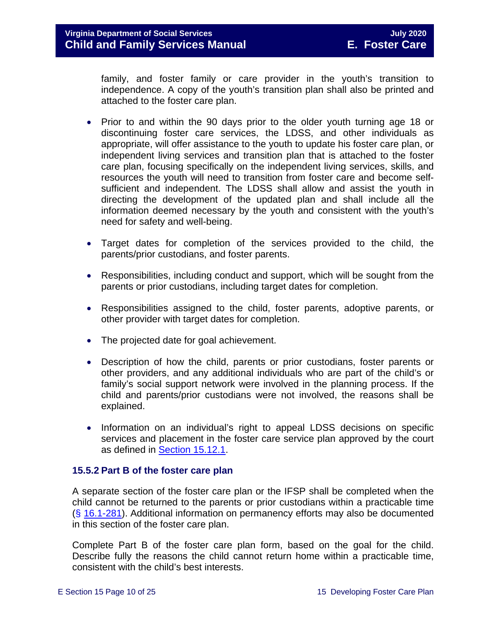family, and foster family or care provider in the youth's transition to independence. A copy of the youth's transition plan shall also be printed and attached to the foster care plan.

- Prior to and within the 90 days prior to the older youth turning age 18 or discontinuing foster care services, the LDSS, and other individuals as appropriate, will offer assistance to the youth to update his foster care plan, or independent living services and transition plan that is attached to the foster care plan, focusing specifically on the independent living services, skills, and resources the youth will need to transition from foster care and become selfsufficient and independent. The LDSS shall allow and assist the youth in directing the development of the updated plan and shall include all the information deemed necessary by the youth and consistent with the youth's need for safety and well-being.
- Target dates for completion of the services provided to the child, the parents/prior custodians, and foster parents.
- Responsibilities, including conduct and support, which will be sought from the parents or prior custodians, including target dates for completion.
- Responsibilities assigned to the child, foster parents, adoptive parents, or other provider with target dates for completion.
- The projected date for goal achievement.
- Description of how the child, parents or prior custodians, foster parents or other providers, and any additional individuals who are part of the child's or family's social support network were involved in the planning process. If the child and parents/prior custodians were not involved, the reasons shall be explained.
- Information on an individual's right to appeal LDSS decisions on specific services and placement in the foster care service plan approved by the court as defined in [Section 15.12.1.](#page-16-2)

### <span id="page-9-0"></span>**15.5.2 Part B of the foster care plan**

A separate section of the foster care plan or the IFSP shall be completed when the child cannot be returned to the parents or prior custodians within a practicable time (§ [16.1-281\)](https://law.lis.virginia.gov/vacode/16.1-281/). Additional information on permanency efforts may also be documented in this section of the foster care plan.

Complete Part B of the foster care plan form, based on the goal for the child. Describe fully the reasons the child cannot return home within a practicable time, consistent with the child's best interests.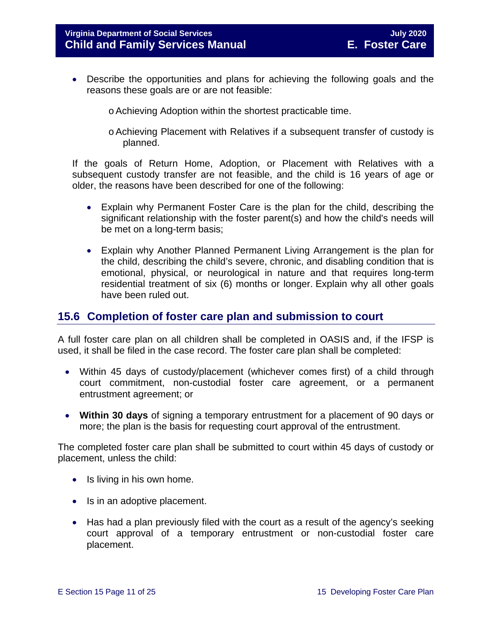- Describe the opportunities and plans for achieving the following goals and the reasons these goals are or are not feasible:
	- oAchieving Adoption within the shortest practicable time.
	- oAchieving Placement with Relatives if a subsequent transfer of custody is planned.

If the goals of Return Home, Adoption, or Placement with Relatives with a subsequent custody transfer are not feasible, and the child is 16 years of age or older, the reasons have been described for one of the following:

- Explain why Permanent Foster Care is the plan for the child, describing the significant relationship with the foster parent(s) and how the child's needs will be met on a long-term basis;
- Explain why Another Planned Permanent Living Arrangement is the plan for the child, describing the child's severe, chronic, and disabling condition that is emotional, physical, or neurological in nature and that requires long-term residential treatment of six (6) months or longer. Explain why all other goals have been ruled out.

### <span id="page-10-0"></span>**15.6 Completion of foster care plan and submission to court**

A full foster care plan on all children shall be completed in OASIS and, if the IFSP is used, it shall be filed in the case record. The foster care plan shall be completed:

- Within 45 days of custody/placement (whichever comes first) of a child through court commitment, non-custodial foster care agreement, or a permanent entrustment agreement; or
- **Within 30 days** of signing a temporary entrustment for a placement of 90 days or more; the plan is the basis for requesting court approval of the entrustment.

The completed foster care plan shall be submitted to court within 45 days of custody or placement, unless the child:

- Is living in his own home.
- Is in an adoptive placement.
- Has had a plan previously filed with the court as a result of the agency's seeking court approval of a temporary entrustment or non-custodial foster care placement.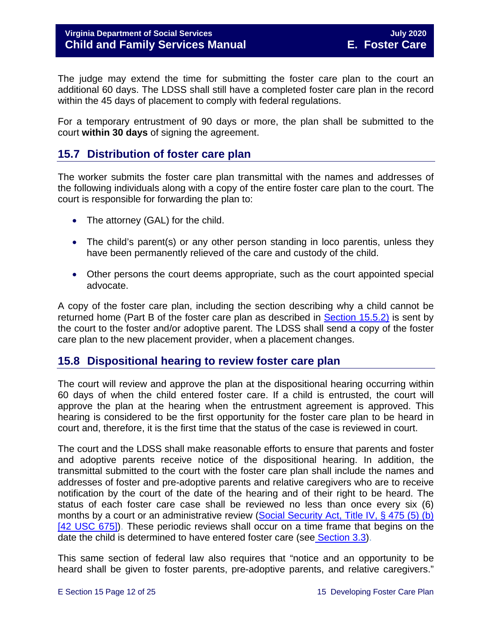### **Virginia Department of Social Services** Manual Communication Communication Communication Communication Communication **Child and Family Services Manual E. Foster Care**

The judge may extend the time for submitting the foster care plan to the court an additional 60 days. The LDSS shall still have a completed foster care plan in the record within the 45 days of placement to comply with federal regulations.

For a temporary entrustment of 90 days or more, the plan shall be submitted to the court **within 30 days** of signing the agreement.

### <span id="page-11-0"></span>**15.7 Distribution of foster care plan**

The worker submits the foster care plan transmittal with the names and addresses of the following individuals along with a copy of the entire foster care plan to the court. The court is responsible for forwarding the plan to:

- The attorney (GAL) for the child.
- The child's parent(s) or any other person standing in loco parentis, unless they have been permanently relieved of the care and custody of the child.
- Other persons the court deems appropriate, such as the court appointed special advocate.

A copy of the foster care plan, including the section describing why a child cannot be returned home (Part B of the foster care plan as described in [Section 15.5.2\)](#page-9-0) is sent by the court to the foster and/or adoptive parent. The LDSS shall send a copy of the foster care plan to the new placement provider, when a placement changes.

### <span id="page-11-1"></span>**15.8 Dispositional hearing to review foster care plan**

The court will review and approve the plan at the dispositional hearing occurring within 60 days of when the child entered foster care. If a child is entrusted, the court will approve the plan at the hearing when the entrustment agreement is approved. This hearing is considered to be the first opportunity for the foster care plan to be heard in court and, therefore, it is the first time that the status of the case is reviewed in court.

The court and the LDSS shall make reasonable efforts to ensure that parents and foster and adoptive parents receive notice of the dispositional hearing. In addition, the transmittal submitted to the court with the foster care plan shall include the names and addresses of foster and pre-adoptive parents and relative caregivers who are to receive notification by the court of the date of the hearing and of their right to be heard. The status of each foster care case shall be reviewed no less than once every six (6) months by a court or an administrative review (Social Security Act, Title IV, § 475 (5) (b) [\[42 USC 675\]\)](http://www.socialsecurity.gov/OP_Home/ssact/title04/0475.htm). These periodic reviews shall occur on a time frame that begins on the date the child is determined to have entered foster care (see [Section 3.3\)](https://fusion.dss.virginia.gov/Portals/%5bdfs%5d/Files/DFS%20Manuals/Foster%20Care%20Manuals/Foster%20Care%20Manual%2007-2020/section_3_entering_foster_care.pdf#page=3).

This same section of federal law also requires that "notice and an opportunity to be heard shall be given to foster parents, pre-adoptive parents, and relative caregivers."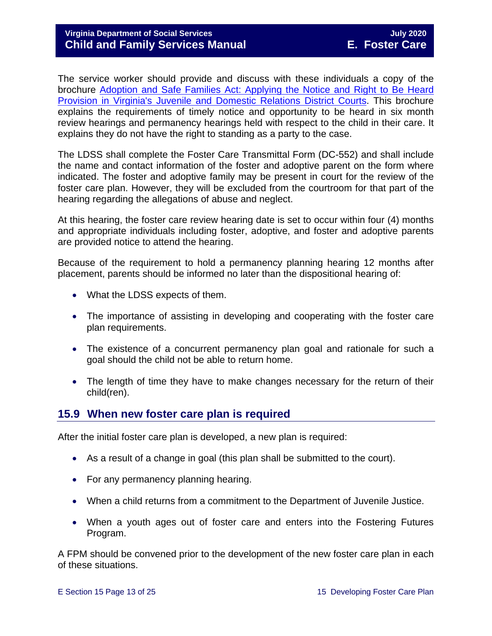The service worker should provide and discuss with these individuals a copy of the brochure [Adoption and Safe Families Act: Applying the Notice and Right to Be Heard](http://www.courts.state.va.us/courtadmin/aoc/cip/resources/asfa_brochure_web.pdf)  [Provision in Virginia's Juvenile and Domestic Relations District Courts.](http://www.courts.state.va.us/courtadmin/aoc/cip/resources/asfa_brochure_web.pdf) This brochure explains the requirements of timely notice and opportunity to be heard in six month review hearings and permanency hearings held with respect to the child in their care. It explains they do not have the right to standing as a party to the case.

The LDSS shall complete the Foster Care Transmittal Form (DC-552) and shall include the name and contact information of the foster and adoptive parent on the form where indicated. The foster and adoptive family may be present in court for the review of the foster care plan. However, they will be excluded from the courtroom for that part of the hearing regarding the allegations of abuse and neglect.

At this hearing, the foster care review hearing date is set to occur within four (4) months and appropriate individuals including foster, adoptive, and foster and adoptive parents are provided notice to attend the hearing.

Because of the requirement to hold a permanency planning hearing 12 months after placement, parents should be informed no later than the dispositional hearing of:

- What the LDSS expects of them.
- The importance of assisting in developing and cooperating with the foster care plan requirements.
- The existence of a concurrent permanency plan goal and rationale for such a goal should the child not be able to return home.
- The length of time they have to make changes necessary for the return of their child(ren).

### <span id="page-12-0"></span>**15.9 When new foster care plan is required**

After the initial foster care plan is developed, a new plan is required:

- As a result of a change in goal (this plan shall be submitted to the court).
- For any permanency planning hearing.
- When a child returns from a commitment to the Department of Juvenile Justice.
- When a youth ages out of foster care and enters into the Fostering Futures Program.

A FPM should be convened prior to the development of the new foster care plan in each of these situations.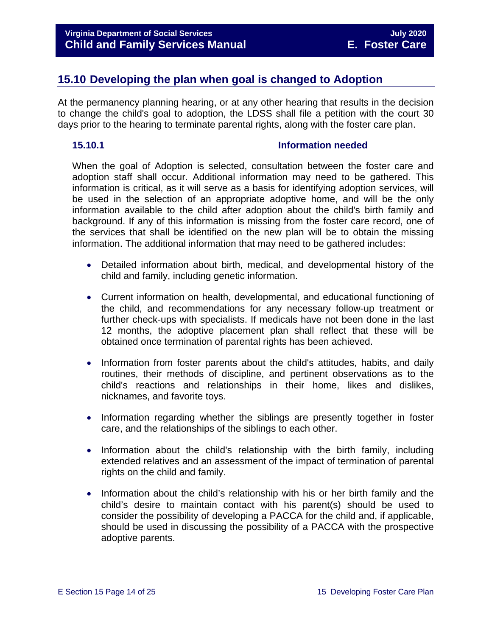### <span id="page-13-0"></span>**15.10 Developing the plan when goal is changed to Adoption**

At the permanency planning hearing, or at any other hearing that results in the decision to change the child's goal to adoption, the LDSS shall file a petition with the court 30 days prior to the hearing to terminate parental rights, along with the foster care plan.

### <span id="page-13-1"></span>**15.10.1 Information needed**

When the goal of Adoption is selected, consultation between the foster care and adoption staff shall occur. Additional information may need to be gathered. This information is critical, as it will serve as a basis for identifying adoption services, will be used in the selection of an appropriate adoptive home, and will be the only information available to the child after adoption about the child's birth family and background. If any of this information is missing from the foster care record, one of the services that shall be identified on the new plan will be to obtain the missing information. The additional information that may need to be gathered includes:

- Detailed information about birth, medical, and developmental history of the child and family, including genetic information.
- Current information on health, developmental, and educational functioning of the child, and recommendations for any necessary follow-up treatment or further check-ups with specialists. If medicals have not been done in the last 12 months, the adoptive placement plan shall reflect that these will be obtained once termination of parental rights has been achieved.
- Information from foster parents about the child's attitudes, habits, and daily routines, their methods of discipline, and pertinent observations as to the child's reactions and relationships in their home, likes and dislikes, nicknames, and favorite toys.
- Information regarding whether the siblings are presently together in foster care, and the relationships of the siblings to each other.
- Information about the child's relationship with the birth family, including extended relatives and an assessment of the impact of termination of parental rights on the child and family.
- Information about the child's relationship with his or her birth family and the child's desire to maintain contact with his parent(s) should be used to consider the possibility of developing a PACCA for the child and, if applicable, should be used in discussing the possibility of a PACCA with the prospective adoptive parents.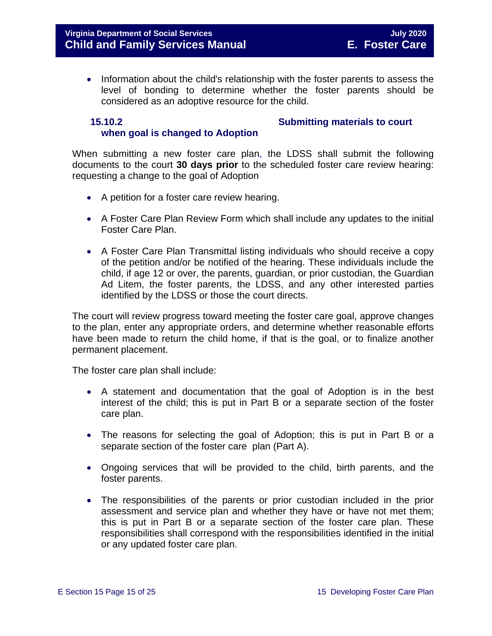• Information about the child's relationship with the foster parents to assess the level of bonding to determine whether the foster parents should be considered as an adoptive resource for the child.

<span id="page-14-0"></span>**15.10.2 Submitting materials to court** 

### **when goal is changed to Adoption**

When submitting a new foster care plan, the LDSS shall submit the following documents to the court **30 days prior** to the scheduled foster care review hearing: requesting a change to the goal of Adoption

- A petition for a foster care review hearing.
- A Foster Care Plan Review Form which shall include any updates to the initial Foster Care Plan.
- A Foster Care Plan Transmittal listing individuals who should receive a copy of the petition and/or be notified of the hearing. These individuals include the child, if age 12 or over, the parents, guardian, or prior custodian, the Guardian Ad Litem, the foster parents, the LDSS, and any other interested parties identified by the LDSS or those the court directs.

The court will review progress toward meeting the foster care goal, approve changes to the plan, enter any appropriate orders, and determine whether reasonable efforts have been made to return the child home, if that is the goal, or to finalize another permanent placement.

The foster care plan shall include:

- A statement and documentation that the goal of Adoption is in the best interest of the child; this is put in Part B or a separate section of the foster care plan.
- The reasons for selecting the goal of Adoption; this is put in Part B or a separate section of the foster care plan (Part A).
- Ongoing services that will be provided to the child, birth parents, and the foster parents.
- The responsibilities of the parents or prior custodian included in the prior assessment and service plan and whether they have or have not met them; this is put in Part B or a separate section of the foster care plan. These responsibilities shall correspond with the responsibilities identified in the initial or any updated foster care plan.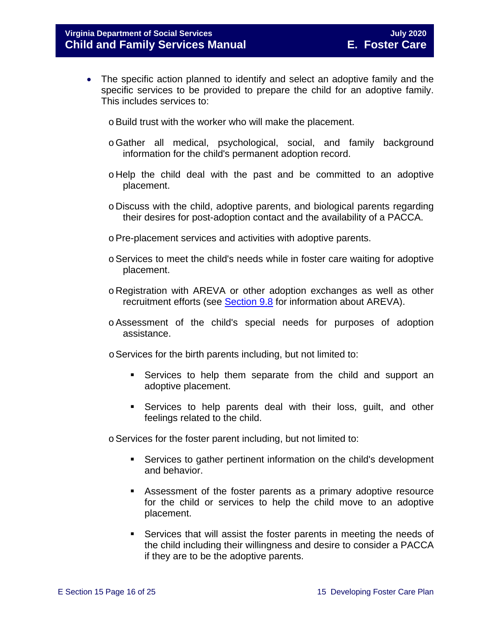- The specific action planned to identify and select an adoptive family and the specific services to be provided to prepare the child for an adoptive family. This includes services to:
	- oBuild trust with the worker who will make the placement.
	- oGather all medical, psychological, social, and family background information for the child's permanent adoption record.
	- o Help the child deal with the past and be committed to an adoptive placement.
	- o Discuss with the child, adoptive parents, and biological parents regarding their desires for post-adoption contact and the availability of a PACCA.
	- oPre-placement services and activities with adoptive parents.
	- $\circ$  Services to meet the child's needs while in foster care waiting for adoptive placement.
	- o Registration with AREVA or other adoption exchanges as well as other recruitment efforts (see [Section 9.8](https://fusion.dss.virginia.gov/Portals/%5Bdfs%5D/Files/DFS%20Manuals/Foster%20Care%20Manuals/Foster%20Care%20Manual%2007-2020/section_9_achieving_permanency_goal_adoption.pdf#page=24) for information about AREVA).
	- oAssessment of the child's special needs for purposes of adoption assistance.
	- oServices for the birth parents including, but not limited to:
		- Services to help them separate from the child and support an adoptive placement.
		- Services to help parents deal with their loss, guilt, and other feelings related to the child.

oServices for the foster parent including, but not limited to:

- Services to gather pertinent information on the child's development and behavior.
- Assessment of the foster parents as a primary adoptive resource for the child or services to help the child move to an adoptive placement.
- Services that will assist the foster parents in meeting the needs of the child including their willingness and desire to consider a PACCA if they are to be the adoptive parents.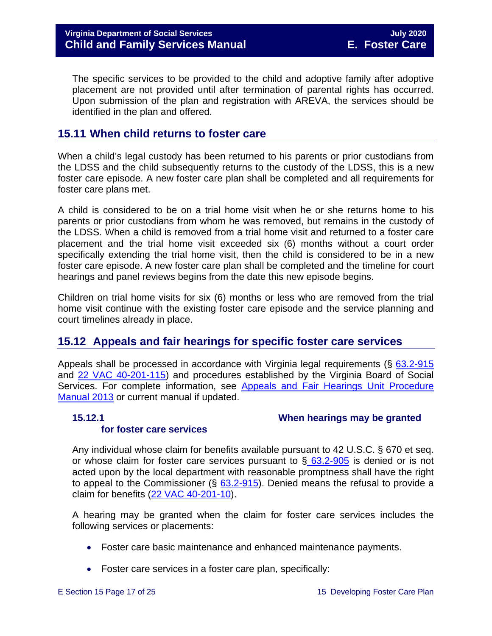The specific services to be provided to the child and adoptive family after adoptive placement are not provided until after termination of parental rights has occurred. Upon submission of the plan and registration with AREVA, the services should be identified in the plan and offered.

### <span id="page-16-0"></span>**15.11 When child returns to foster care**

When a child's legal custody has been returned to his parents or prior custodians from the LDSS and the child subsequently returns to the custody of the LDSS, this is a new foster care episode. A new foster care plan shall be completed and all requirements for foster care plans met.

A child is considered to be on a trial home visit when he or she returns home to his parents or prior custodians from whom he was removed, but remains in the custody of the LDSS. When a child is removed from a trial home visit and returned to a foster care placement and the trial home visit exceeded six (6) months without a court order specifically extending the trial home visit, then the child is considered to be in a new foster care episode. A new foster care plan shall be completed and the timeline for court hearings and panel reviews begins from the date this new episode begins.

Children on trial home visits for six (6) months or less who are removed from the trial home visit continue with the existing foster care episode and the service planning and court timelines already in place.

### <span id="page-16-1"></span>**15.12 Appeals and fair hearings for specific foster care services**

Appeals shall be processed in accordance with Virginia legal requirements (§ [63.2-915](https://law.lis.virginia.gov/vacode/63.2-915/) and [22 VAC 40-201-115\)](https://law.lis.virginia.gov/admincode/title22/agency40/chapter201/section115) and procedures established by the Virginia Board of Social Services. For complete information, see [Appeals and Fair Hearings Unit Procedure](https://fusion.dss.virginia.gov/Portals/%5BAC%5D/Files/Appeals%2C%20Fair%20Hearings%20and%20Civil%20Rights/AFH_Procedure_Manual.pdf)  [Manual 2013](https://fusion.dss.virginia.gov/Portals/%5BAC%5D/Files/Appeals%2C%20Fair%20Hearings%20and%20Civil%20Rights/AFH_Procedure_Manual.pdf) or current manual if updated.

### **for foster care services**

### <span id="page-16-2"></span>**15.12.1 When hearings may be granted**

Any individual whose claim for benefits available pursuant to 42 U.S.C. § 670 et seq. or whose claim for foster care services pursuant to  $\S$  [63.2-905](https://law.lis.virginia.gov/vacode/63.2-905/) is denied or is not acted upon by the local department with reasonable promptness shall have the right to appeal to the Commissioner  $(\S$  [63.2-915\)](https://law.lis.virginia.gov/vacode/63.2-905/). Denied means the refusal to provide a claim for benefits [\(22 VAC 40-201-10\)](https://law.lis.virginia.gov/admincode/title22/agency40/chapter201/section10).

A hearing may be granted when the claim for foster care services includes the following services or placements:

- Foster care basic maintenance and enhanced maintenance payments.
- Foster care services in a foster care plan, specifically: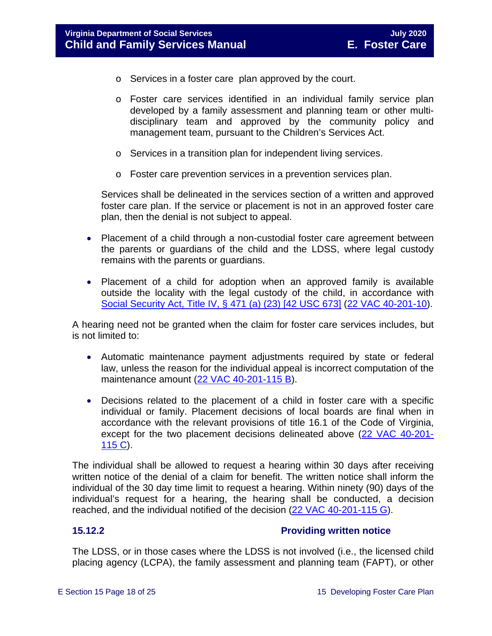- o Services in a foster care plan approved by the court.
- o Foster care services identified in an individual family service plan developed by a family assessment and planning team or other multidisciplinary team and approved by the community policy and management team, pursuant to the Children's Services Act.
- o Services in a transition plan for independent living services.
- o Foster care prevention services in a prevention services plan.

Services shall be delineated in the services section of a written and approved foster care plan. If the service or placement is not in an approved foster care plan, then the denial is not subject to appeal.

- Placement of a child through a non-custodial foster care agreement between the parents or guardians of the child and the LDSS, where legal custody remains with the parents or guardians.
- Placement of a child for adoption when an approved family is available outside the locality with the legal custody of the child, in accordance with [Social Security Act, Title IV, § 471 \(a\) \(23\) \[42 USC 673\]](http://www.ssa.gov/OP_Home/ssact/title04/0471.htm) [\(22 VAC 40-201-10\)](https://law.lis.virginia.gov/admincode/title22/agency40/chapter201/section10).

A hearing need not be granted when the claim for foster care services includes, but is not limited to:

- Automatic maintenance payment adjustments required by state or federal law, unless the reason for the individual appeal is incorrect computation of the maintenance amount [\(22 VAC 40-201-115 B\)](https://law.lis.virginia.gov/admincode/title22/agency40/chapter201/section115).
- Decisions related to the placement of a child in foster care with a specific individual or family. Placement decisions of local boards are final when in accordance with the relevant provisions of title 16.1 of the Code of Virginia, except for the two placement decisions delineated above [\(22 VAC 40-201-](https://law.lis.virginia.gov/admincode/title22/agency40/chapter201/section115) [115 C\)](https://law.lis.virginia.gov/admincode/title22/agency40/chapter201/section115).

The individual shall be allowed to request a hearing within 30 days after receiving written notice of the denial of a claim for benefit. The written notice shall inform the individual of the 30 day time limit to request a hearing. Within ninety (90) days of the individual's request for a hearing, the hearing shall be conducted, a decision reached, and the individual notified of the decision [\(22 VAC 40-201-115 G\)](https://law.lis.virginia.gov/admincode/title22/agency40/chapter201/section115).

### <span id="page-17-1"></span><span id="page-17-0"></span>**15.12.2 Providing written notice**

The LDSS, or in those cases where the LDSS is not involved (i.e., the licensed child placing agency (LCPA), the family assessment and planning team (FAPT), or other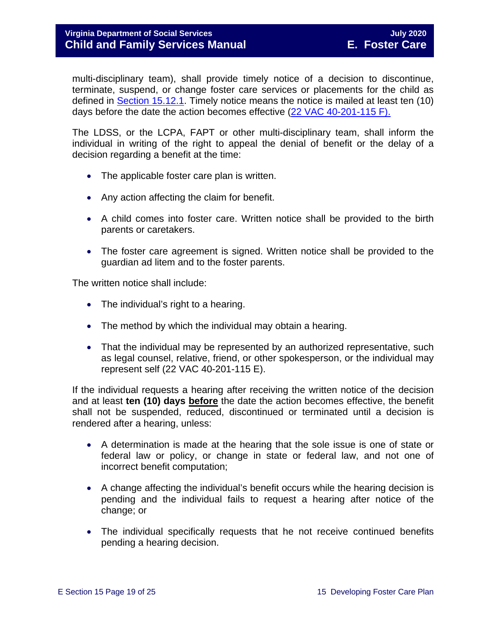multi-disciplinary team), shall provide timely notice of a decision to discontinue, terminate, suspend, or change foster care services or placements for the child as defined in [Section 15.12.1.](#page-16-2) Timely notice means the notice is mailed at least ten (10) days before the date the action becomes effective [\(22 VAC 40-201-115 F\).](https://law.lis.virginia.gov/admincode/title22/agency40/chapter201/section115)

The LDSS, or the LCPA, FAPT or other multi-disciplinary team, shall inform the individual in writing of the right to appeal the denial of benefit or the delay of a decision regarding a benefit at the time:

- The applicable foster care plan is written.
- Any action affecting the claim for benefit.
- A child comes into foster care. Written notice shall be provided to the birth parents or caretakers.
- The foster care agreement is signed. Written notice shall be provided to the guardian ad litem and to the foster parents.

The written notice shall include:

- The individual's right to a hearing.
- The method by which the individual may obtain a hearing.
- That the individual may be represented by an authorized representative, such as legal counsel, relative, friend, or other spokesperson, or the individual may represent self (22 VAC 40-201-115 E).

If the individual requests a hearing after receiving the written notice of the decision and at least **ten (10) days before** the date the action becomes effective, the benefit shall not be suspended, reduced, discontinued or terminated until a decision is rendered after a hearing, unless:

- A determination is made at the hearing that the sole issue is one of state or federal law or policy, or change in state or federal law, and not one of incorrect benefit computation;
- A change affecting the individual's benefit occurs while the hearing decision is pending and the individual fails to request a hearing after notice of the change; or
- The individual specifically requests that he not receive continued benefits pending a hearing decision.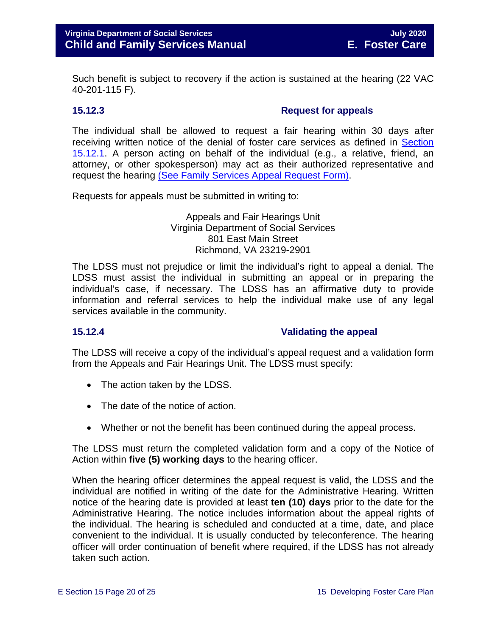Such benefit is subject to recovery if the action is sustained at the hearing (22 VAC 40-201-115 F).

### **15.12.3 Request for appeals**

The individual shall be allowed to request a fair hearing within 30 days after receiving written notice of the denial of foster care services as defined in [Section](#page-16-2)  [15.12.1.](#page-16-2) A person acting on behalf of the individual (e.g., a relative, friend, an attorney, or other spokesperson) may act as their authorized representative and request the hearing [\(See Family Services Appeal Request Form\).](https://fusion.dss.virginia.gov/Portals/%5Bdfs%5D/Files/DFS%20FORMS/Family%20Services-Generic%20Forms/Family%20Services%20Appeal%20Request.pdf)

Requests for appeals must be submitted in writing to:

### <span id="page-19-1"></span><span id="page-19-0"></span>Appeals and Fair Hearings Unit Virginia Department of Social Services 801 East Main Street Richmond, VA 23219-2901

The LDSS must not prejudice or limit the individual's right to appeal a denial. The LDSS must assist the individual in submitting an appeal or in preparing the individual's case, if necessary. The LDSS has an affirmative duty to provide information and referral services to help the individual make use of any legal services available in the community.

### **15.12.4 Validating the appeal**

The LDSS will receive a copy of the individual's appeal request and a validation form from the Appeals and Fair Hearings Unit. The LDSS must specify:

- The action taken by the LDSS.
- The date of the notice of action.
- Whether or not the benefit has been continued during the appeal process.

The LDSS must return the completed validation form and a copy of the Notice of Action within **five (5) working days** to the hearing officer.

When the hearing officer determines the appeal request is valid, the LDSS and the individual are notified in writing of the date for the Administrative Hearing. Written notice of the hearing date is provided at least **ten (10) days** prior to the date for the Administrative Hearing. The notice includes information about the appeal rights of the individual. The hearing is scheduled and conducted at a time, date, and place convenient to the individual. It is usually conducted by teleconference. The hearing officer will order continuation of benefit where required, if the LDSS has not already taken such action.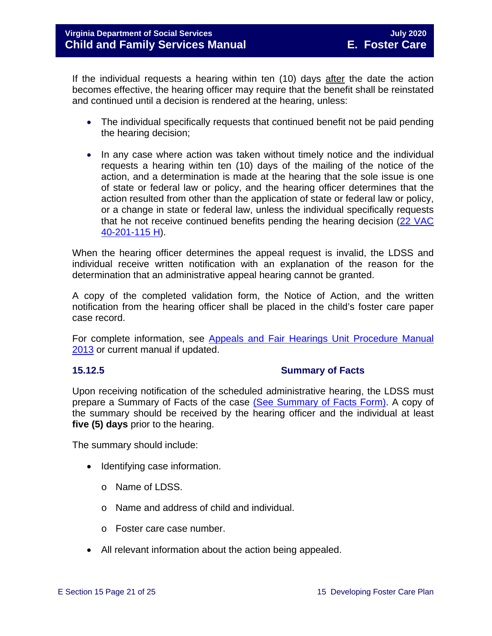If the individual requests a hearing within ten (10) days after the date the action becomes effective, the hearing officer may require that the benefit shall be reinstated and continued until a decision is rendered at the hearing, unless:

- The individual specifically requests that continued benefit not be paid pending the hearing decision;
- In any case where action was taken without timely notice and the individual requests a hearing within ten (10) days of the mailing of the notice of the action, and a determination is made at the hearing that the sole issue is one of state or federal law or policy, and the hearing officer determines that the action resulted from other than the application of state or federal law or policy, or a change in state or federal law, unless the individual specifically requests that he not receive continued benefits pending the hearing decision [\(22 VAC](https://law.lis.virginia.gov/admincode/title22/agency40/chapter201/section115)  [40-201-115 H\)](https://law.lis.virginia.gov/admincode/title22/agency40/chapter201/section115).

When the hearing officer determines the appeal request is invalid, the LDSS and individual receive written notification with an explanation of the reason for the determination that an administrative appeal hearing cannot be granted.

A copy of the completed validation form, the Notice of Action, and the written notification from the hearing officer shall be placed in the child's foster care paper case record.

For complete information, see Appeals and Fair Hearings Unit Procedure Manual [2013](https://fusion.dss.virginia.gov/Portals/%5BAC%5D/Files/Appeals%2C%20Fair%20Hearings%20and%20Civil%20Rights/AFH_Procedure_Manual.pdf) or current manual if updated.

### <span id="page-20-0"></span>**15.12.5 Summary of Facts**

Upon receiving notification of the scheduled administrative hearing, the LDSS must prepare a Summary of Facts of the case [\(See Summary of Facts Form\).](https://fusion.dss.virginia.gov/Portals/%5Bdfs%5D/Files/DFS%20FORMS/Family%20Services-Generic%20Forms/Family%20Services%20Summary%20of%20Facts.pdf) A copy of the summary should be received by the hearing officer and the individual at least **five (5) days** prior to the hearing.

The summary should include:

- Identifying case information.
	- o Name of LDSS.
	- o Name and address of child and individual.
	- o Foster care case number.
- All relevant information about the action being appealed.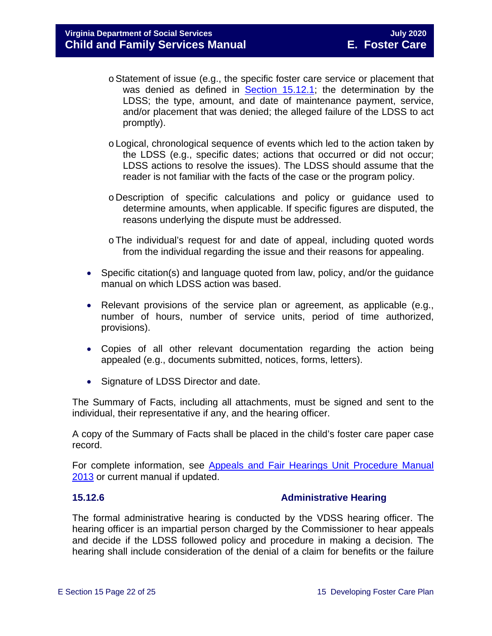- oStatement of issue (e.g., the specific foster care service or placement that was denied as defined in [Section 15.12.1;](#page-16-2) the determination by the LDSS; the type, amount, and date of maintenance payment, service, and/or placement that was denied; the alleged failure of the LDSS to act promptly).
- oLogical, chronological sequence of events which led to the action taken by the LDSS (e.g., specific dates; actions that occurred or did not occur; LDSS actions to resolve the issues). The LDSS should assume that the reader is not familiar with the facts of the case or the program policy.
- o Description of specific calculations and policy or guidance used to determine amounts, when applicable. If specific figures are disputed, the reasons underlying the dispute must be addressed.
- oThe individual's request for and date of appeal, including quoted words from the individual regarding the issue and their reasons for appealing.
- Specific citation(s) and language quoted from law, policy, and/or the guidance manual on which LDSS action was based.
- Relevant provisions of the service plan or agreement, as applicable (e.g., number of hours, number of service units, period of time authorized, provisions).
- Copies of all other relevant documentation regarding the action being appealed (e.g., documents submitted, notices, forms, letters).
- Signature of LDSS Director and date.

The Summary of Facts, including all attachments, must be signed and sent to the individual, their representative if any, and the hearing officer.

A copy of the Summary of Facts shall be placed in the child's foster care paper case record.

For complete information, see Appeals and Fair Hearings Unit Procedure Manual [2013](https://fusion.dss.virginia.gov/Portals/%5BAC%5D/Files/Appeals%2C%20Fair%20Hearings%20and%20Civil%20Rights/AFH_Procedure_Manual.pdf) or current manual if updated.

### <span id="page-21-0"></span>**15.12.6 Administrative Hearing**

The formal administrative hearing is conducted by the VDSS hearing officer. The hearing officer is an impartial person charged by the Commissioner to hear appeals and decide if the LDSS followed policy and procedure in making a decision. The hearing shall include consideration of the denial of a claim for benefits or the failure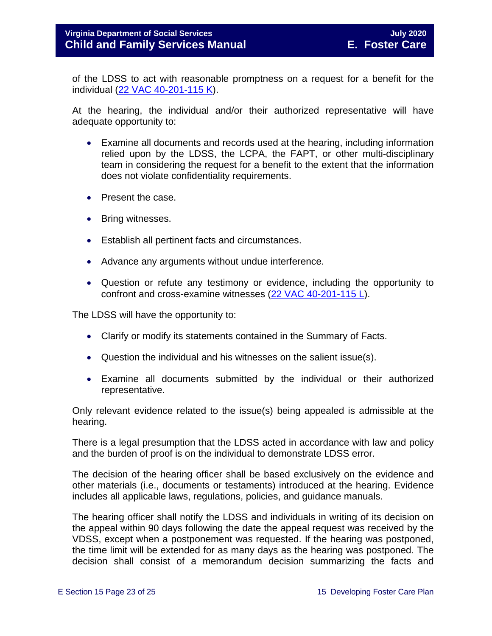of the LDSS to act with reasonable promptness on a request for a benefit for the individual [\(22 VAC 40-201-115 K\)](https://law.lis.virginia.gov/admincode/title22/agency40/chapter201/section115).

At the hearing, the individual and/or their authorized representative will have adequate opportunity to:

- Examine all documents and records used at the hearing, including information relied upon by the LDSS, the LCPA, the FAPT, or other multi-disciplinary team in considering the request for a benefit to the extent that the information does not violate confidentiality requirements.
- Present the case.
- Bring witnesses.
- Establish all pertinent facts and circumstances.
- Advance any arguments without undue interference.
- Question or refute any testimony or evidence, including the opportunity to confront and cross-examine witnesses [\(22 VAC 40-201-115 L\)](https://law.lis.virginia.gov/admincode/title22/agency40/chapter201/section115).

The LDSS will have the opportunity to:

- Clarify or modify its statements contained in the Summary of Facts.
- Question the individual and his witnesses on the salient issue(s).
- Examine all documents submitted by the individual or their authorized representative.

Only relevant evidence related to the issue(s) being appealed is admissible at the hearing.

There is a legal presumption that the LDSS acted in accordance with law and policy and the burden of proof is on the individual to demonstrate LDSS error.

The decision of the hearing officer shall be based exclusively on the evidence and other materials (i.e., documents or testaments) introduced at the hearing. Evidence includes all applicable laws, regulations, policies, and guidance manuals.

The hearing officer shall notify the LDSS and individuals in writing of its decision on the appeal within 90 days following the date the appeal request was received by the VDSS, except when a postponement was requested. If the hearing was postponed, the time limit will be extended for as many days as the hearing was postponed. The decision shall consist of a memorandum decision summarizing the facts and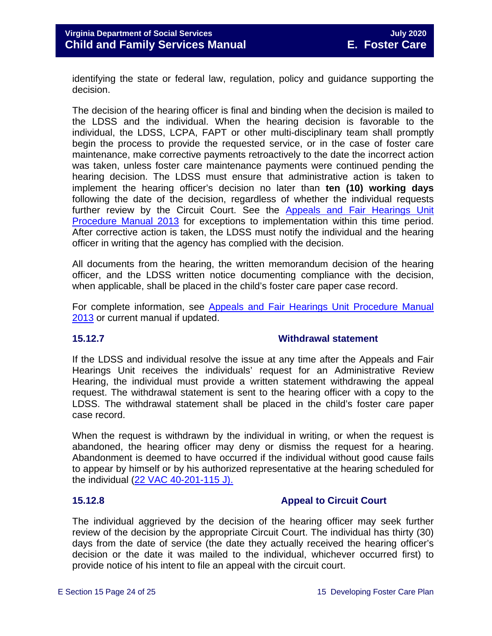identifying the state or federal law, regulation, policy and guidance supporting the decision.

The decision of the hearing officer is final and binding when the decision is mailed to the LDSS and the individual. When the hearing decision is favorable to the individual, the LDSS, LCPA, FAPT or other multi-disciplinary team shall promptly begin the process to provide the requested service, or in the case of foster care maintenance, make corrective payments retroactively to the date the incorrect action was taken, unless foster care maintenance payments were continued pending the hearing decision. The LDSS must ensure that administrative action is taken to implement the hearing officer's decision no later than **ten (10) working days** following the date of the decision, regardless of whether the individual requests further review by the Circuit Court. See the Appeals and Fair Hearings Unit [Procedure Manual 2013](https://fusion.dss.virginia.gov/Portals/%5BAC%5D/Files/Appeals%2C%20Fair%20Hearings%20and%20Civil%20Rights/AFH_Procedure_Manual.pdf) for exceptions to implementation within this time period. After corrective action is taken, the LDSS must notify the individual and the hearing officer in writing that the agency has complied with the decision.

All documents from the hearing, the written memorandum decision of the hearing officer, and the LDSS written notice documenting compliance with the decision, when applicable, shall be placed in the child's foster care paper case record.

For complete information, see [Appeals and Fair Hearings Unit Procedure Manual](https://fusion.dss.virginia.gov/Portals/%5BAC%5D/Files/Appeals%2C%20Fair%20Hearings%20and%20Civil%20Rights/AFH_Procedure_Manual.pdf)  [2013](https://fusion.dss.virginia.gov/Portals/%5BAC%5D/Files/Appeals%2C%20Fair%20Hearings%20and%20Civil%20Rights/AFH_Procedure_Manual.pdf) or current manual if updated.

### <span id="page-23-0"></span>**15.12.7 Withdrawal statement**

If the LDSS and individual resolve the issue at any time after the Appeals and Fair Hearings Unit receives the individuals' request for an Administrative Review Hearing, the individual must provide a written statement withdrawing the appeal request. The withdrawal statement is sent to the hearing officer with a copy to the LDSS. The withdrawal statement shall be placed in the child's foster care paper case record.

When the request is withdrawn by the individual in writing, or when the request is abandoned, the hearing officer may deny or dismiss the request for a hearing. Abandonment is deemed to have occurred if the individual without good cause fails to appear by himself or by his authorized representative at the hearing scheduled for the individual [\(22 VAC 40-201-115 J\).](https://law.lis.virginia.gov/admincode/title22/agency40/chapter201/section115)

### <span id="page-23-1"></span>**15.12.8 Appeal to Circuit Court**

The individual aggrieved by the decision of the hearing officer may seek further review of the decision by the appropriate Circuit Court. The individual has thirty (30) days from the date of service (the date they actually received the hearing officer's decision or the date it was mailed to the individual, whichever occurred first) to provide notice of his intent to file an appeal with the circuit court.